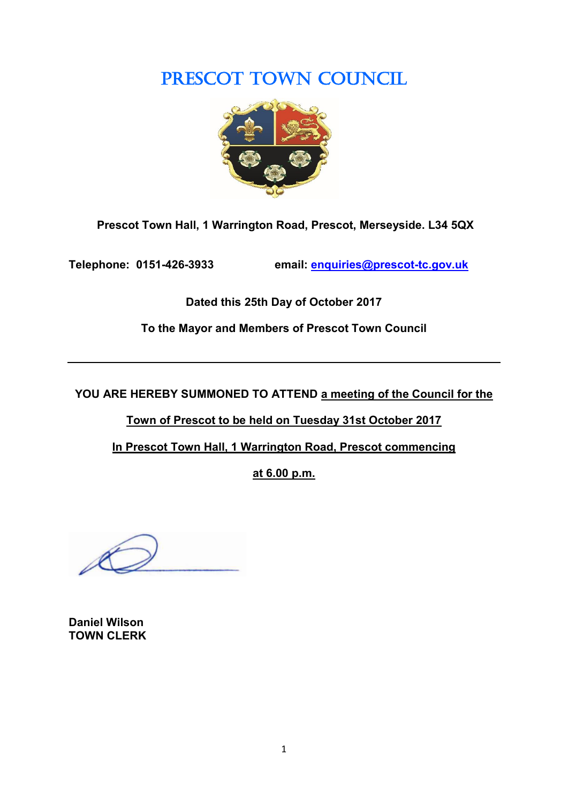# PRESCOT TOWN COUNCIL



**Prescot Town Hall, 1 Warrington Road, Prescot, Merseyside. L34 5QX**

**Telephone: 0151-426-3933 email: [enquiries@prescot-tc.gov.uk](mailto:enquiries@prescot-tc.gov.uk)**

**Dated this 25th Day of October 2017**

**To the Mayor and Members of Prescot Town Council**

**YOU ARE HEREBY SUMMONED TO ATTEND a meeting of the Council for the** 

**Town of Prescot to be held on Tuesday 31st October 2017**

**In Prescot Town Hall, 1 Warrington Road, Prescot commencing**

**at 6.00 p.m.**

**Daniel Wilson TOWN CLERK**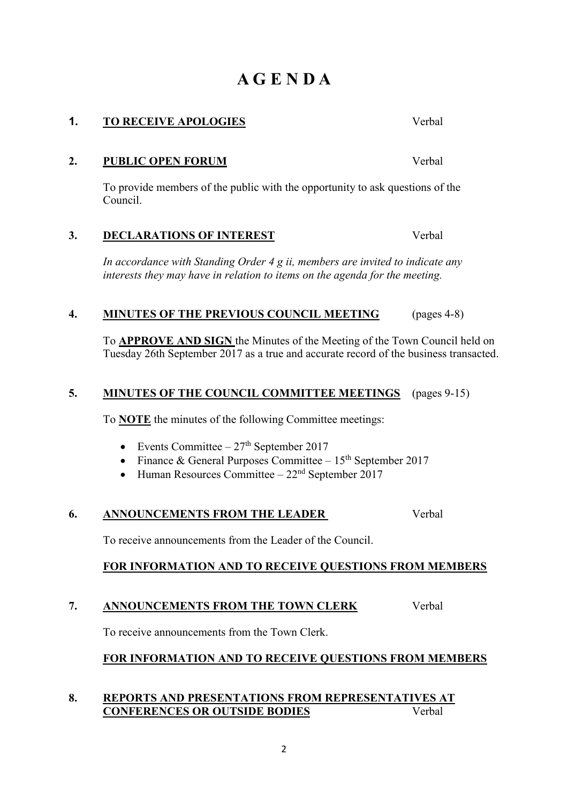# **A G E N D A**

**1. TO RECEIVE APOLOGIES** Verbal

**2. PUBLIC OPEN FORUM** Verbal

To provide members of the public with the opportunity to ask questions of the Council.

# **3. DECLARATIONS OF INTEREST** Verbal

*In accordance with Standing Order 4 g ii, members are invited to indicate any interests they may have in relation to items on the agenda for the meeting.*

### **4. MINUTES OF THE PREVIOUS COUNCIL MEETING** (pages 4-8)

To **APPROVE AND SIGN** the Minutes of the Meeting of the Town Council held on Tuesday 26th September 2017 as a true and accurate record of the business transacted.

### **5. MINUTES OF THE COUNCIL COMMITTEE MEETINGS** (pages 9-15)

To **NOTE** the minutes of the following Committee meetings:

- Events Committee  $27<sup>th</sup>$  September 2017
- Finance & General Purposes Committee  $15<sup>th</sup>$  September 2017
- Human Resources Committee  $22<sup>nd</sup>$  September 2017

## **6. ANNOUNCEMENTS FROM THE LEADER** Verbal

To receive announcements from the Leader of the Council.

#### **FOR INFORMATION AND TO RECEIVE QUESTIONS FROM MEMBERS**

#### **7. ANNOUNCEMENTS FROM THE TOWN CLERK** Verbal

To receive announcements from the Town Clerk.

#### **FOR INFORMATION AND TO RECEIVE QUESTIONS FROM MEMBERS**

#### **8. REPORTS AND PRESENTATIONS FROM REPRESENTATIVES AT CONFERENCES OR OUTSIDE BODIES** Verbal